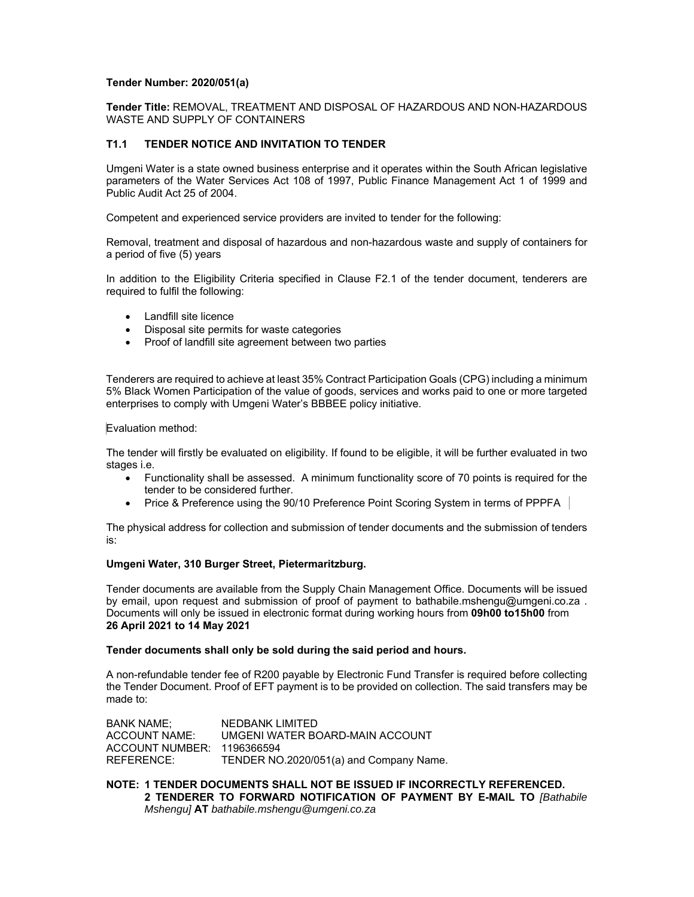## **Tender Number: 2020/051(a)**

**Tender Title:** REMOVAL, TREATMENT AND DISPOSAL OF HAZARDOUS AND NON-HAZARDOUS WASTE AND SUPPLY OF CONTAINERS

# **T1.1 TENDER NOTICE AND INVITATION TO TENDER**

Umgeni Water is a state owned business enterprise and it operates within the South African legislative parameters of the Water Services Act 108 of 1997, Public Finance Management Act 1 of 1999 and Public Audit Act 25 of 2004.

Competent and experienced service providers are invited to tender for the following:

Removal, treatment and disposal of hazardous and non-hazardous waste and supply of containers for a period of five (5) years

In addition to the Eligibility Criteria specified in Clause F2.1 of the tender document, tenderers are required to fulfil the following:

- Landfill site licence
- Disposal site permits for waste categories
- Proof of landfill site agreement between two parties

Tenderers are required to achieve at least 35% Contract Participation Goals (CPG) including a minimum 5% Black Women Participation of the value of goods, services and works paid to one or more targeted enterprises to comply with Umgeni Water's BBBEE policy initiative.

## Evaluation method:

The tender will firstly be evaluated on eligibility. If found to be eligible, it will be further evaluated in two stages i.e.

- Functionality shall be assessed. A minimum functionality score of 70 points is required for the tender to be considered further.
- Price & Preference using the 90/10 Preference Point Scoring System in terms of PPPFA

The physical address for collection and submission of tender documents and the submission of tenders is:

## **Umgeni Water, 310 Burger Street, Pietermaritzburg.**

Tender documents are available from the Supply Chain Management Office. Documents will be issued by email, upon request and submission of proof of payment to bathabile.mshengu@umgeni.co.za . Documents will only be issued in electronic format during working hours from **09h00 to15h00** from **26 April 2021 to 14 May 2021** 

## **Tender documents shall only be sold during the said period and hours.**

A non-refundable tender fee of R200 payable by Electronic Fund Transfer is required before collecting the Tender Document. Proof of EFT payment is to be provided on collection. The said transfers may be made to:

BANK NAME; NEDBANK LIMITED ACCOUNT NAME: UMGENI WATER BOARD-MAIN ACCOUNT ACCOUNT NUMBER: 1196366594 REFERENCE: TENDER NO.2020/051(a) and Company Name.

**NOTE: 1 TENDER DOCUMENTS SHALL NOT BE ISSUED IF INCORRECTLY REFERENCED. 2 TENDERER TO FORWARD NOTIFICATION OF PAYMENT BY E-MAIL TO** *[Bathabile Mshengu]* **AT** *bathabile.mshengu@umgeni.co.za*